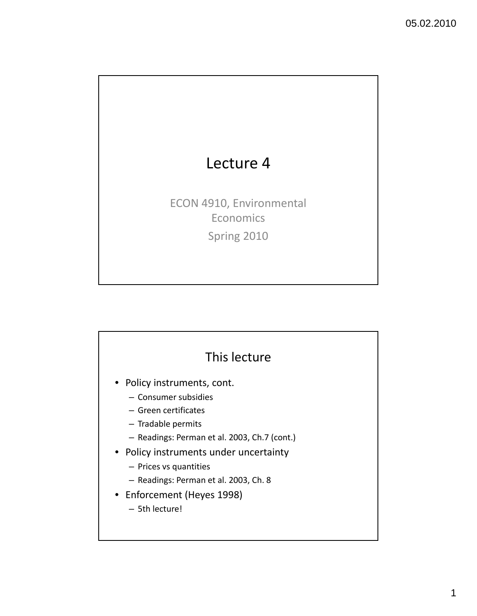

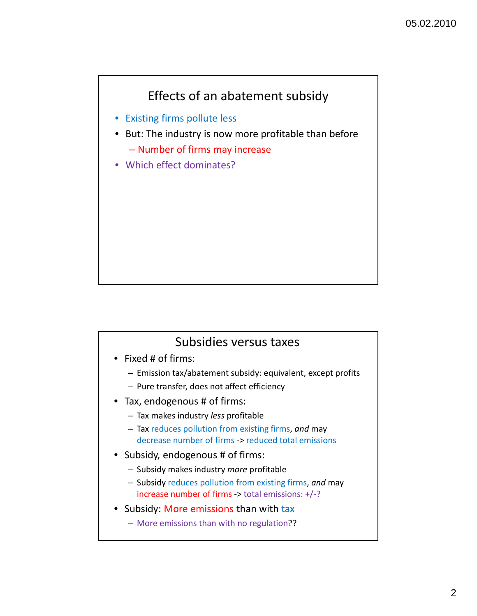### Effects of an abatement subsidy

- Existing firms pollute less
- But: The industry is now more profitable than before – Number of firms may increase
- Which effect dominates?

#### Subsidies versus taxes

- Fixed # of firms:
	- Emission tax/abatement subsidy: equivalent, except profits
	- Pure transfer, does not affect efficiency
- Tax, endogenous # of firms:
	- Tax makes industry *less* profitable
	- Tax reduces pollution from existing firms, *and* may decrease number of firms ‐> reduced total emissions
- Subsidy, endogenous # of firms:
	- Subsidy makes industry *more* profitable
	- Subsidy reduces pollution from existing firms, *and* may increase number of firms ‐> total emissions: +/‐?
- Subsidy: More emissions than with tax
	- More emissions than with no regulation??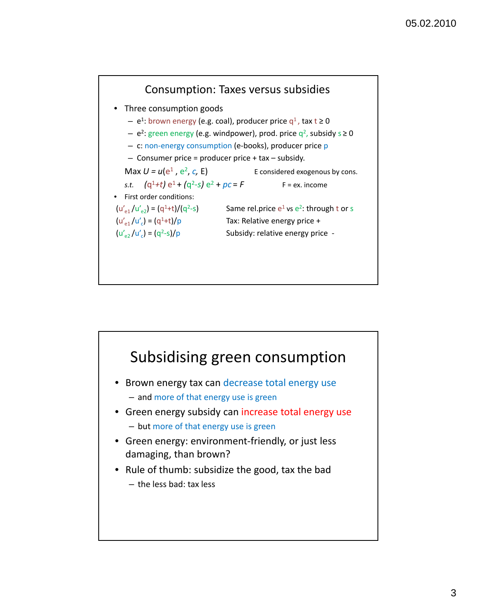

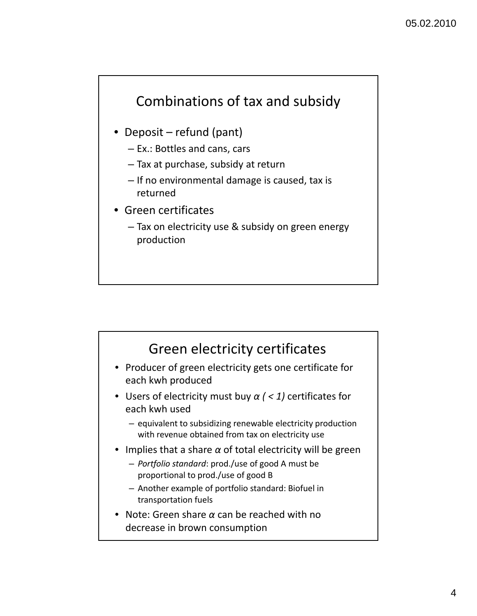# Combinations of tax and subsidy

- Deposit refund (pant)
	- Ex.: Bottles and cans, cars
	- Tax at purchase, subsidy at return
	- If no environmental damage is caused, tax is returned
- Green certificates
	- Tax on electricity use & subsidy on green energy production

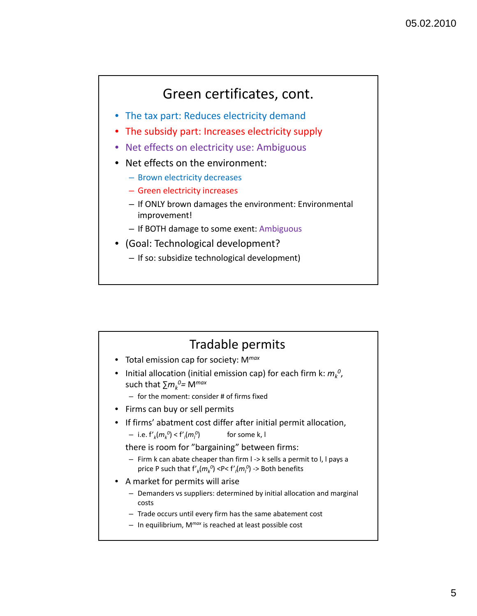# Green certificates, cont.

- The tax part: Reduces electricity demand
- The subsidy part: Increases electricity supply
- Net effects on electricity use: Ambiguous
- Net effects on the environment:
	- Brown electricity decreases
	- Green electricity increases
	- If ONLY brown damages the environment: Environmental improvement!
	- If BOTH damage to some exent: Ambiguous
- (Goal: Technological development?
	- If so: subsidize technological development)

#### Tradable permits • Total emission cap for society: M*max*  $\bullet$  Initial allocation (initial emission cap) for each firm k:  $m_k^{\; 0}$ , such that ∑*mk 0=* M*max* – for the moment: consider # of firms fixed • Firms can buy or sell permits • If firms' abatment cost differ after initial permit allocation,  $-$  i.e.  $f'_{k}(m_{k}^{0}) < f'_{l}(m_{l}^{0})$ for some k, l there is room for "bargaining" between firms: – Firm k can abate cheaper than firm l ‐> k sells a permit to l, l pays a price P such that  $f'_{k}(m_{k}^{0})$  <P<  $f'_{l}(m_{l}^{0})$  -> Both benefits • A market for permits will arise – Demanders vs suppliers: determined by initial allocation and marginal costs – Trade occurs until every firm has the same abatement cost – In equilibrium, M*max* is reached at least possible cost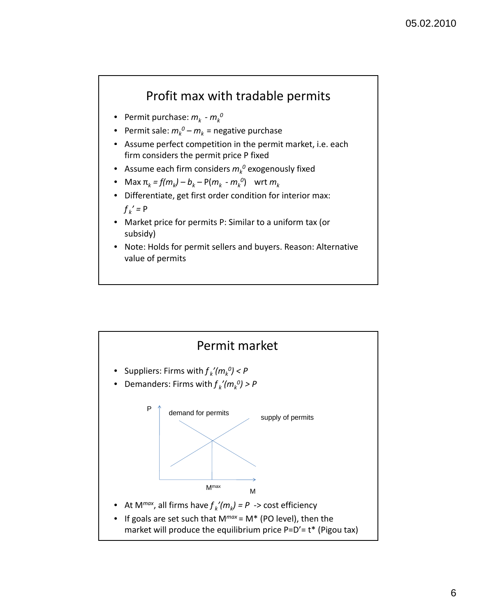### Profit max with tradable permits

- Permit purchase:  $m_k$   $m_k^0$
- Permit sale:  $m_k^o m_k^o =$  negative purchase
- Assume perfect competition in the permit market, i.e. each firm considers the permit price P fixed
- $\bullet$  Assume each firm considers  $m_k^{\; 0}$  exogenously fixed
- Max  $\pi_k = f(m_k) b_k P(m_k m_k^0)$  wrt  $m_k$
- Differentiate, get first order condition for interior max:  $f_k' = P$
- Market price for permits P: Similar to a uniform tax (or subsidy)
- Note: Holds for permit sellers and buyers. Reason: Alternative value of permits

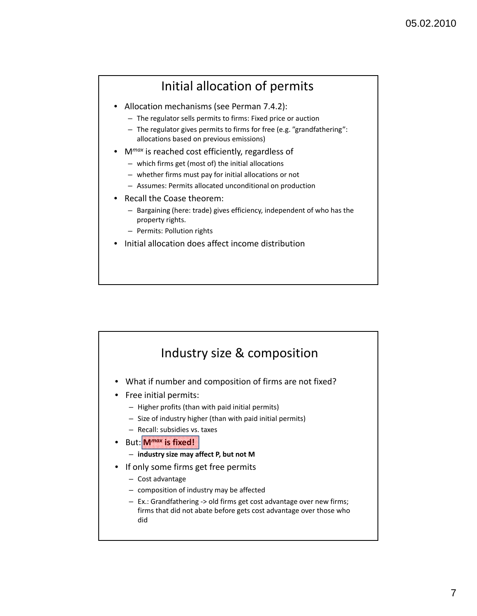### Initial allocation of permits

- Allocation mechanisms (see Perman 7.4.2):
	- The regulator sells permits to firms: Fixed price or auction
	- The regulator gives permits to firms for free (e.g. "grandfathering": allocations based on previous emissions)
- M*max* is reached cost efficiently, regardless of
	- which firms get (most of) the initial allocations
	- whether firms must pay for initial allocations or not
	- Assumes: Permits allocated unconditional on production
- Recall the Coase theorem:
	- Bargaining (here: trade) gives efficiency, independent of who has the property rights.
	- Permits: Pollution rights
- Initial allocation does affect income distribution

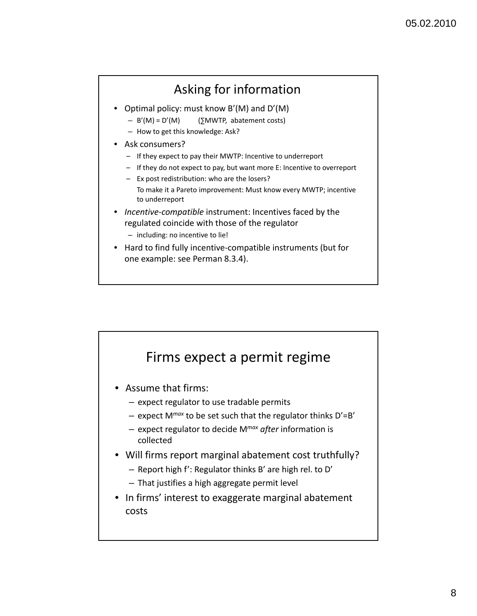## Asking for information

- Optimal policy: must know B'(M) and D'(M)
	- B'(M) = D'(M) (∑MWTP, abatement costs)
	- How to get this knowledge: Ask?
- Ask consumers?
	- If they expect to pay their MWTP: Incentive to underreport
	- If they do not expect to pay, but want more E: Incentive to overreport
	- Ex post redistribution: who are the losers? To make it a Pareto improvement: Must know every MWTP; incentive to underreport
- *Incentive‐compatible* instrument: Incentives faced by the regulated coincide with those of the regulator
	- including: no incentive to lie!
- Hard to find fully incentive‐compatible instruments (but for one example: see Perman 8.3.4).

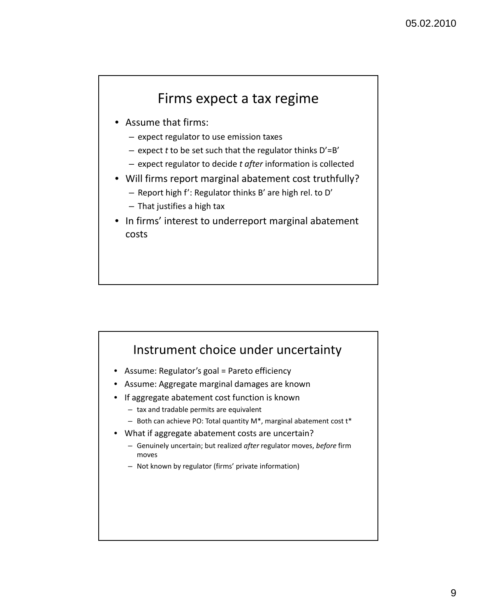### Firms expect a tax regime

- Assume that firms:
	- expect regulator to use emission taxes
	- expect *t* to be set such that the regulator thinks D'=B'
	- expect regulator to decide *t after* information is collected
- Will firms report marginal abatement cost truthfully?
	- Report high f': Regulator thinks B' are high rel. to D'
	- That justifies a high tax
- In firms' interest to underreport marginal abatement costs

#### Instrument choice under uncertainty

- Assume: Regulator's goal = Pareto efficiency
- Assume: Aggregate marginal damages are known
- If aggregate abatement cost function is known
	- tax and tradable permits are equivalent
	- Both can achieve PO: Total quantity M\*, marginal abatement cost  $t^*$
- What if aggregate abatement costs are uncertain?
	- Genuinely uncertain; but realized *after* regulator moves, *before* firm moves
	- Not known by regulator (firms' private information)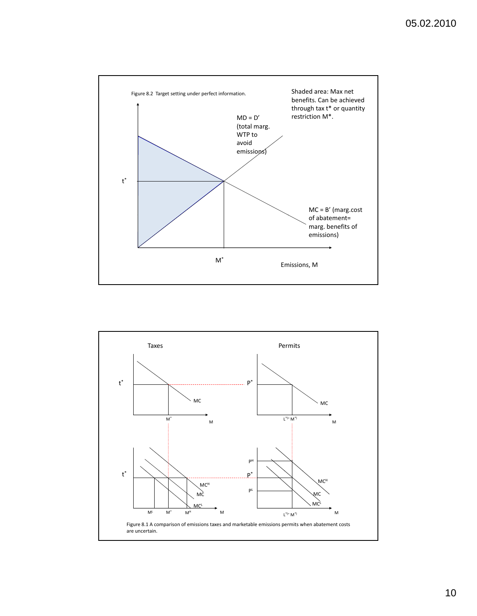

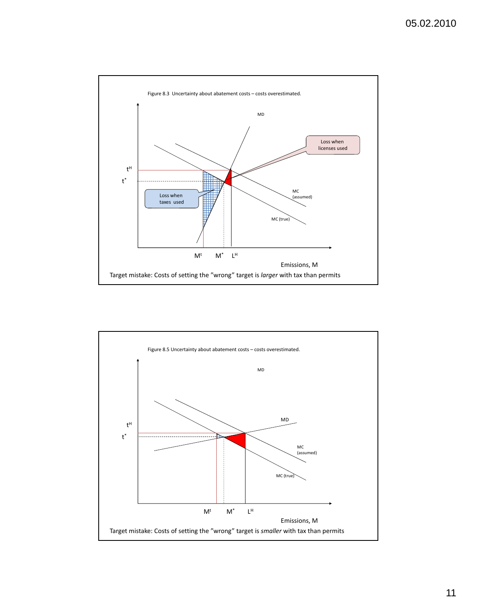

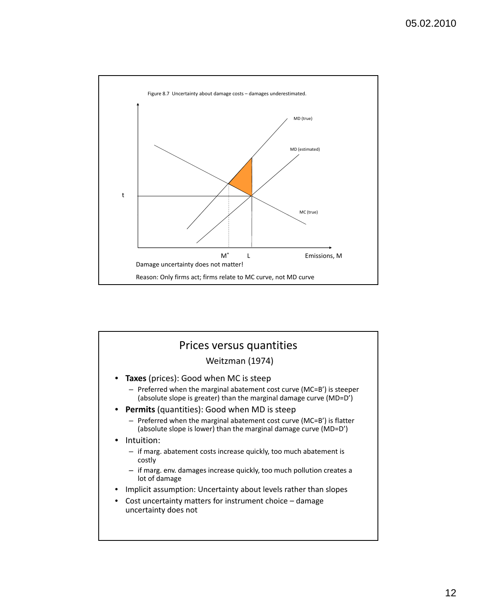